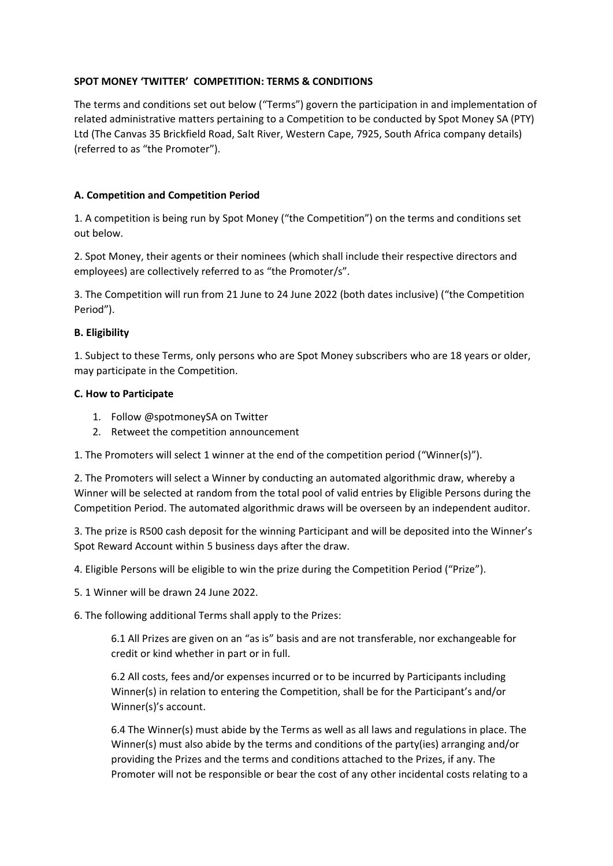## **SPOT MONEY 'TWITTER' COMPETITION: TERMS & CONDITIONS**

The terms and conditions set out below ("Terms") govern the participation in and implementation of related administrative matters pertaining to a Competition to be conducted by Spot Money SA (PTY) Ltd (The Canvas 35 Brickfield Road, Salt River, Western Cape, 7925, South Africa company details) (referred to as "the Promoter").

# **A. Competition and Competition Period**

1. A competition is being run by Spot Money ("the Competition") on the terms and conditions set out below.

2. Spot Money, their agents or their nominees (which shall include their respective directors and employees) are collectively referred to as "the Promoter/s".

3. The Competition will run from 21 June to 24 June 2022 (both dates inclusive) ("the Competition Period").

## **B. Eligibility**

1. Subject to these Terms, only persons who are Spot Money subscribers who are 18 years or older, may participate in the Competition.

### **C. How to Participate**

- 1. Follow @spotmoneySA on Twitter
- 2. Retweet the competition announcement

1. The Promoters will select 1 winner at the end of the competition period ("Winner(s)").

2. The Promoters will select a Winner by conducting an automated algorithmic draw, whereby a Winner will be selected at random from the total pool of valid entries by Eligible Persons during the Competition Period. The automated algorithmic draws will be overseen by an independent auditor.

3. The prize is R500 cash deposit for the winning Participant and will be deposited into the Winner's Spot Reward Account within 5 business days after the draw.

4. Eligible Persons will be eligible to win the prize during the Competition Period ("Prize").

5. 1 Winner will be drawn 24 June 2022.

6. The following additional Terms shall apply to the Prizes:

6.1 All Prizes are given on an "as is" basis and are not transferable, nor exchangeable for credit or kind whether in part or in full.

6.2 All costs, fees and/or expenses incurred or to be incurred by Participants including Winner(s) in relation to entering the Competition, shall be for the Participant's and/or Winner(s)'s account.

6.4 The Winner(s) must abide by the Terms as well as all laws and regulations in place. The Winner(s) must also abide by the terms and conditions of the party(ies) arranging and/or providing the Prizes and the terms and conditions attached to the Prizes, if any. The Promoter will not be responsible or bear the cost of any other incidental costs relating to a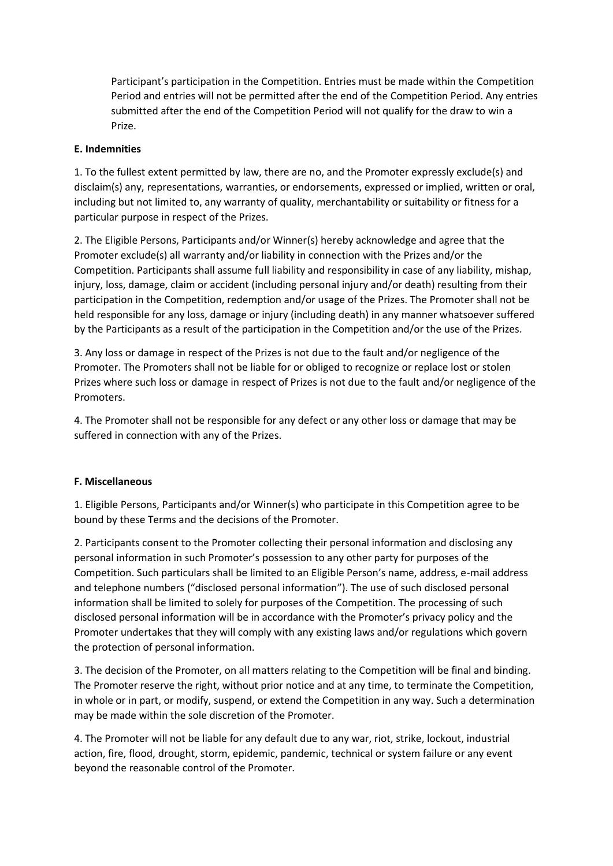Participant's participation in the Competition. Entries must be made within the Competition Period and entries will not be permitted after the end of the Competition Period. Any entries submitted after the end of the Competition Period will not qualify for the draw to win a Prize.

## **E. Indemnities**

1. To the fullest extent permitted by law, there are no, and the Promoter expressly exclude(s) and disclaim(s) any, representations, warranties, or endorsements, expressed or implied, written or oral, including but not limited to, any warranty of quality, merchantability or suitability or fitness for a particular purpose in respect of the Prizes.

2. The Eligible Persons, Participants and/or Winner(s) hereby acknowledge and agree that the Promoter exclude(s) all warranty and/or liability in connection with the Prizes and/or the Competition. Participants shall assume full liability and responsibility in case of any liability, mishap, injury, loss, damage, claim or accident (including personal injury and/or death) resulting from their participation in the Competition, redemption and/or usage of the Prizes. The Promoter shall not be held responsible for any loss, damage or injury (including death) in any manner whatsoever suffered by the Participants as a result of the participation in the Competition and/or the use of the Prizes.

3. Any loss or damage in respect of the Prizes is not due to the fault and/or negligence of the Promoter. The Promoters shall not be liable for or obliged to recognize or replace lost or stolen Prizes where such loss or damage in respect of Prizes is not due to the fault and/or negligence of the Promoters.

4. The Promoter shall not be responsible for any defect or any other loss or damage that may be suffered in connection with any of the Prizes.

### **F. Miscellaneous**

1. Eligible Persons, Participants and/or Winner(s) who participate in this Competition agree to be bound by these Terms and the decisions of the Promoter.

2. Participants consent to the Promoter collecting their personal information and disclosing any personal information in such Promoter's possession to any other party for purposes of the Competition. Such particulars shall be limited to an Eligible Person's name, address, e-mail address and telephone numbers ("disclosed personal information"). The use of such disclosed personal information shall be limited to solely for purposes of the Competition. The processing of such disclosed personal information will be in accordance with the Promoter's privacy policy and the Promoter undertakes that they will comply with any existing laws and/or regulations which govern the protection of personal information.

3. The decision of the Promoter, on all matters relating to the Competition will be final and binding. The Promoter reserve the right, without prior notice and at any time, to terminate the Competition, in whole or in part, or modify, suspend, or extend the Competition in any way. Such a determination may be made within the sole discretion of the Promoter.

4. The Promoter will not be liable for any default due to any war, riot, strike, lockout, industrial action, fire, flood, drought, storm, epidemic, pandemic, technical or system failure or any event beyond the reasonable control of the Promoter.